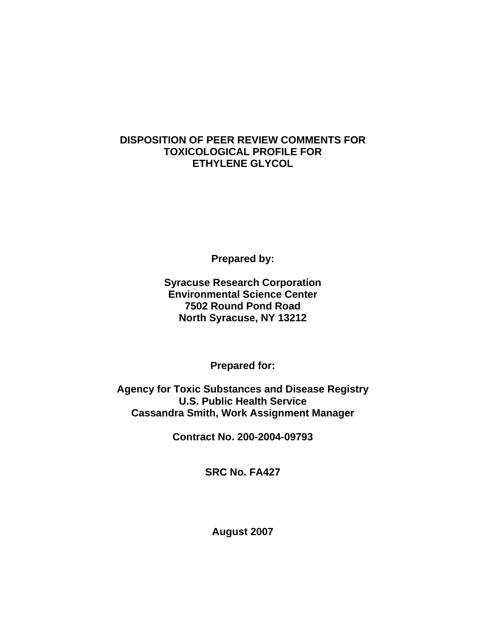## **DISPOSITION OF PEER REVIEW COMMENTS FOR TOXICOLOGICAL PROFILE FOR ETHYLENE GLYCOL**

**Prepared by:** 

**Syracuse Research Corporation Environmental Science Center 7502 Round Pond Road North Syracuse, NY 13212** 

**Prepared for:** 

**Agency for Toxic Substances and Disease Registry U.S. Public Health Service Cassandra Smith, Work Assignment Manager** 

**Contract No. 200-2004-09793** 

**SRC No. FA427** 

**August 2007**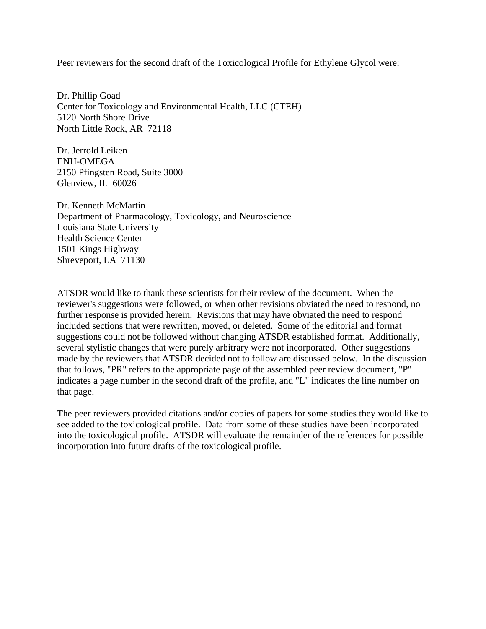Peer reviewers for the second draft of the Toxicological Profile for Ethylene Glycol were:

Dr. Phillip Goad Center for Toxicology and Environmental Health, LLC (CTEH) 5120 North Shore Drive North Little Rock, AR 72118

Dr. Jerrold Leiken ENH-OMEGA 2150 Pfingsten Road, Suite 3000 Glenview, IL 60026

Dr. Kenneth McMartin Department of Pharmacology, Toxicology, and Neuroscience Louisiana State University Health Science Center 1501 Kings Highway Shreveport, LA 71130

ATSDR would like to thank these scientists for their review of the document. When the reviewer's suggestions were followed, or when other revisions obviated the need to respond, no further response is provided herein. Revisions that may have obviated the need to respond included sections that were rewritten, moved, or deleted. Some of the editorial and format suggestions could not be followed without changing ATSDR established format. Additionally, several stylistic changes that were purely arbitrary were not incorporated. Other suggestions made by the reviewers that ATSDR decided not to follow are discussed below. In the discussion that follows, "PR" refers to the appropriate page of the assembled peer review document, "P" indicates a page number in the second draft of the profile, and "L" indicates the line number on that page.

The peer reviewers provided citations and/or copies of papers for some studies they would like to see added to the toxicological profile. Data from some of these studies have been incorporated into the toxicological profile. ATSDR will evaluate the remainder of the references for possible incorporation into future drafts of the toxicological profile.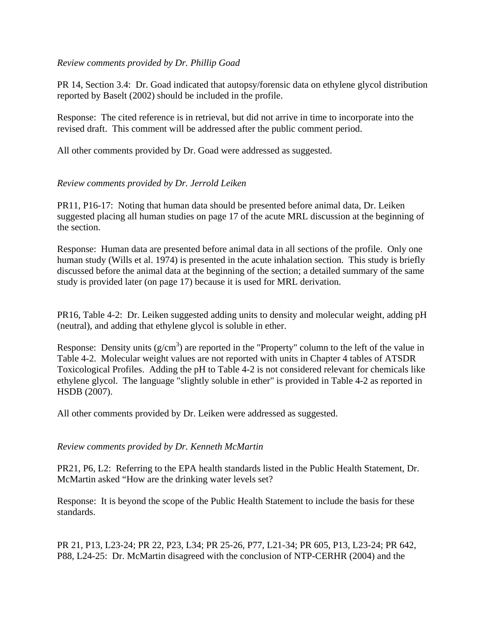## *Review comments provided by Dr. Phillip Goad*

PR 14, Section 3.4: Dr. Goad indicated that autopsy/forensic data on ethylene glycol distribution reported by Baselt (2002) should be included in the profile.

Response: The cited reference is in retrieval, but did not arrive in time to incorporate into the revised draft. This comment will be addressed after the public comment period.

All other comments provided by Dr. Goad were addressed as suggested.

## *Review comments provided by Dr. Jerrold Leiken*

PR11, P16-17: Noting that human data should be presented before animal data, Dr. Leiken suggested placing all human studies on page 17 of the acute MRL discussion at the beginning of the section.

Response: Human data are presented before animal data in all sections of the profile. Only one human study (Wills et al. 1974) is presented in the acute inhalation section. This study is briefly discussed before the animal data at the beginning of the section; a detailed summary of the same study is provided later (on page 17) because it is used for MRL derivation.

PR16, Table 4-2: Dr. Leiken suggested adding units to density and molecular weight, adding pH (neutral), and adding that ethylene glycol is soluble in ether.

Response: Density units  $(g/cm<sup>3</sup>)$  are reported in the "Property" column to the left of the value in Table 4-2. Molecular weight values are not reported with units in Chapter 4 tables of ATSDR Toxicological Profiles. Adding the pH to Table 4-2 is not considered relevant for chemicals like ethylene glycol. The language "slightly soluble in ether" is provided in Table 4-2 as reported in HSDB (2007).

All other comments provided by Dr. Leiken were addressed as suggested.

## *Review comments provided by Dr. Kenneth McMartin*

PR21, P6, L2: Referring to the EPA health standards listed in the Public Health Statement, Dr. McMartin asked "How are the drinking water levels set?

Response: It is beyond the scope of the Public Health Statement to include the basis for these standards.

PR 21, P13, L23-24; PR 22, P23, L34; PR 25-26, P77, L21-34; PR 605, P13, L23-24; PR 642, P88, L24-25: Dr. McMartin disagreed with the conclusion of NTP-CERHR (2004) and the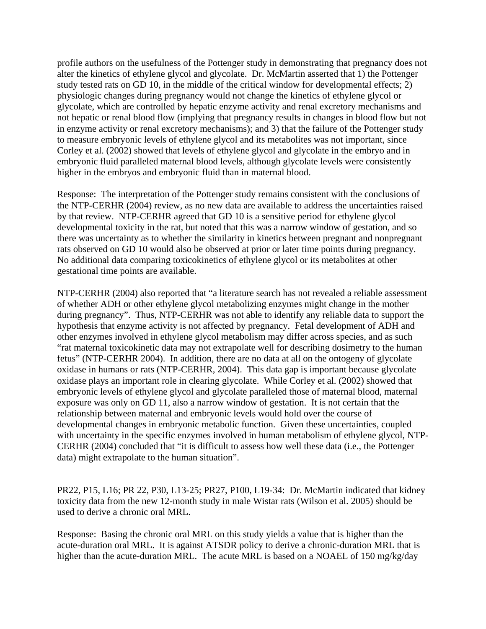profile authors on the usefulness of the Pottenger study in demonstrating that pregnancy does not alter the kinetics of ethylene glycol and glycolate. Dr. McMartin asserted that 1) the Pottenger study tested rats on GD 10, in the middle of the critical window for developmental effects; 2) physiologic changes during pregnancy would not change the kinetics of ethylene glycol or glycolate, which are controlled by hepatic enzyme activity and renal excretory mechanisms and not hepatic or renal blood flow (implying that pregnancy results in changes in blood flow but not in enzyme activity or renal excretory mechanisms); and 3) that the failure of the Pottenger study to measure embryonic levels of ethylene glycol and its metabolites was not important, since Corley et al. (2002) showed that levels of ethylene glycol and glycolate in the embryo and in embryonic fluid paralleled maternal blood levels, although glycolate levels were consistently higher in the embryos and embryonic fluid than in maternal blood.

Response: The interpretation of the Pottenger study remains consistent with the conclusions of the NTP-CERHR (2004) review, as no new data are available to address the uncertainties raised by that review. NTP-CERHR agreed that GD 10 is a sensitive period for ethylene glycol developmental toxicity in the rat, but noted that this was a narrow window of gestation, and so there was uncertainty as to whether the similarity in kinetics between pregnant and nonpregnant rats observed on GD 10 would also be observed at prior or later time points during pregnancy. No additional data comparing toxicokinetics of ethylene glycol or its metabolites at other gestational time points are available.

NTP-CERHR (2004) also reported that "a literature search has not revealed a reliable assessment of whether ADH or other ethylene glycol metabolizing enzymes might change in the mother during pregnancy". Thus, NTP-CERHR was not able to identify any reliable data to support the hypothesis that enzyme activity is not affected by pregnancy. Fetal development of ADH and other enzymes involved in ethylene glycol metabolism may differ across species, and as such "rat maternal toxicokinetic data may not extrapolate well for describing dosimetry to the human fetus" (NTP-CERHR 2004). In addition, there are no data at all on the ontogeny of glycolate oxidase in humans or rats (NTP-CERHR, 2004). This data gap is important because glycolate oxidase plays an important role in clearing glycolate. While Corley et al. (2002) showed that embryonic levels of ethylene glycol and glycolate paralleled those of maternal blood, maternal exposure was only on GD 11, also a narrow window of gestation. It is not certain that the relationship between maternal and embryonic levels would hold over the course of developmental changes in embryonic metabolic function. Given these uncertainties, coupled with uncertainty in the specific enzymes involved in human metabolism of ethylene glycol, NTP-CERHR (2004) concluded that "it is difficult to assess how well these data (i.e., the Pottenger data) might extrapolate to the human situation".

PR22, P15, L16; PR 22, P30, L13-25; PR27, P100, L19-34: Dr. McMartin indicated that kidney toxicity data from the new 12-month study in male Wistar rats (Wilson et al. 2005) should be used to derive a chronic oral MRL.

Response: Basing the chronic oral MRL on this study yields a value that is higher than the acute-duration oral MRL. It is against ATSDR policy to derive a chronic-duration MRL that is higher than the acute-duration MRL. The acute MRL is based on a NOAEL of 150 mg/kg/day